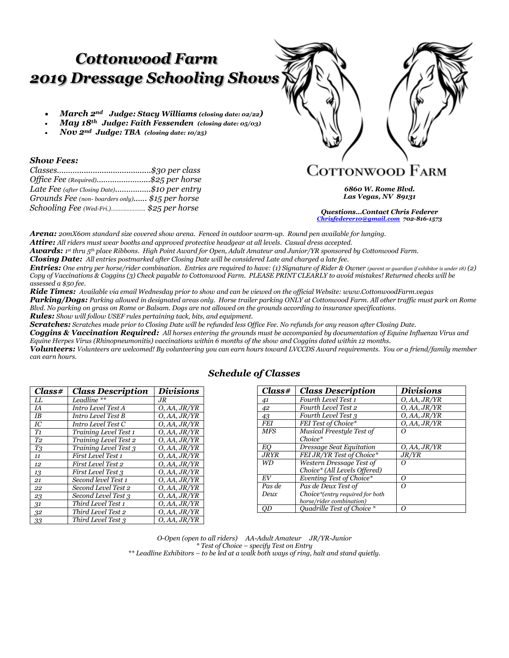# *Cottonwood Farm 2019 Dressage Schooling Shows*

- *March 2nd Judge: Stacy Williams (closing date: 02/22)*
- *May 18th Judge: Faith Fessenden (closing date: 05/03)*
- *Nov 2nd Judge: TBA (closing date: 10/25)*

### *Show Fees:*

| Office Fee (Required)\$25 per horse            |  |
|------------------------------------------------|--|
| Late Fee (after Closing Date)\$10 per entry    |  |
| Grounds Fee (non-boarders only) \$15 per horse |  |
| Schooling Fee (Wed-Fri.) \$25 per horse        |  |

**COTTONWOOD FARM** 

*6860 W. Rome Blvd. Las Vegas, NV 89131*

*Questions…Contact Chris Federer [Chrisfederer10@gmail.com](mailto:Chrisfederer10@gmail.com) 702-816-1573* 

*Arena: 20mX60m standard size covered show arena. Fenced in outdoor warm-up. Round pen available for lunging. Attire: All riders must wear booths and approved protective headgear at all levels. Casual dress accepted.*

*Awards: 1 st thru 5th place Ribbons. High Point Award for Open, Adult Amateur and Junior/YR sponsored by Cottonwood Farm.*

*Closing Date: All entries postmarked after Closing Date will be considered Late and charged a late fee.*

*Entries:* One entry per horse/rider combination. Entries are required to have: (1) Signature of Rider & Owner (parent or guardian if exhibitor is under 18) (2) *Copy of Vaccinations & Coggins (3) Check payable to Cottonwood Farm. PLEASE PRINT CLEARLY to avoid mistakes! Returned checks will be assessed a \$50 fee.*

*Ride Times: Available via email Wednesday prior to show and can be viewed on the official Website: www.CottonwoodFarm.vegas Parking/Dogs: Parking allowed in designated areas only. Horse trailer parking ONLY at Cottonwood Farm. All other traffic must park on Rome Blvd. No parking on grass on Rome or Balsam. Dogs are not allowed on the grounds according to insurance specifications. Rules: Show will follow USEF rules pertaining tack, bits, and equipment.*

*Scratches: Scratches made prior to Closing Date will be refunded less Office Fee. No refunds for any reason after Closing Date.* 

*Coggins & Vaccination Required: All horses entering the grounds must be accompanied by documentation of Equine Influenza Virus and Equine Herpes Virus (Rhinopneumonitis) vaccinations within 6 months of the show and Coggins dated within 12 months.*

*Volunteers: Volunteers are welcomed! By volunteering you can earn hours toward LVCCDS Award requirements. You or a friend/family member can earn hours.* 

| Class#         | <b>Class Description</b>  | <b>Divisions</b> |
|----------------|---------------------------|------------------|
| LL             | Leadline **               | .JR              |
| IA             | Intro Level Test A        | O, AA, JR/YR     |
| <b>IB</b>      | Intro Level Test B        | O, AA, JR/YR     |
| IC             | Intro Level Test C        | O, AA, JR/YR     |
| T <sub>1</sub> | Training Level Test 1     | O, AA, JR/YR     |
| T <sub>2</sub> | Training Level Test 2     | O, AA, JR/YR     |
| T3             | Training Level Test 3     | O, AA, JR/YR     |
| 11             | First Level Test 1        | O, AA, JR/YR     |
| 12             | First Level Test 2        | O, AA, JR/YR     |
| 13             | <b>First Level Test 3</b> | O, AA, JR/YR     |
| 21             | Second level Test 1       | O, AA, JR/YR     |
| 22             | Second Level Test 2       | O, AA, JR/YR     |
| 23             | Second Level Test 3       | O, AA, JR/YR     |
| 31             | Third Level Test 1        | O, AA, JR/YR     |
| 32             | Third Level Test 2        | O, AA, JR/YR     |
| 33             | Third Level Test 3        | O, AA, JR/YR     |

## *Schedule of Classes*

| Class#      | <b>Class Description</b>        | <b>Divisions</b> |
|-------------|---------------------------------|------------------|
| 41          | Fourth Level Test 1             | O, AA, JR/YR     |
| 42          | Fourth Level Test 2             | O, AA, JR/YR     |
| 43          | Fourth Level Test 3             | O, AA, JR/YR     |
| <b>FEI</b>  | FEI Test of Choice*             | O, AA, JR/YR     |
| <b>MFS</b>  | Musical Freestyle Test of       |                  |
|             | $Choice*$                       |                  |
| EО          | Dressage Seat Equitation        | O, AA, JR/YR     |
| <b>JRYR</b> | FEI JR/YR Test of Choice*       | J R/Y R          |
| WD          | Western Dressage Test of        | $\epsilon$       |
|             | Choice* (All Levels Offered)    |                  |
| EV          | Eventing Test of Choice*        | Ω                |
| Pas de      | Pas de Deux Test of             | Ω                |
| Deux        | Choice*(entry required for both |                  |
|             | horse/rider combination)        |                  |
| OD          | Ouadrille Test of Choice *      | Ω                |

*O-Open (open to all riders) AA-Adult Amateur JR/YR-Junior \* Test of Choice – specify Test on Entry \*\* Leadline Exhibitors – to be led at a walk both ways of ring, halt and stand quietly.*